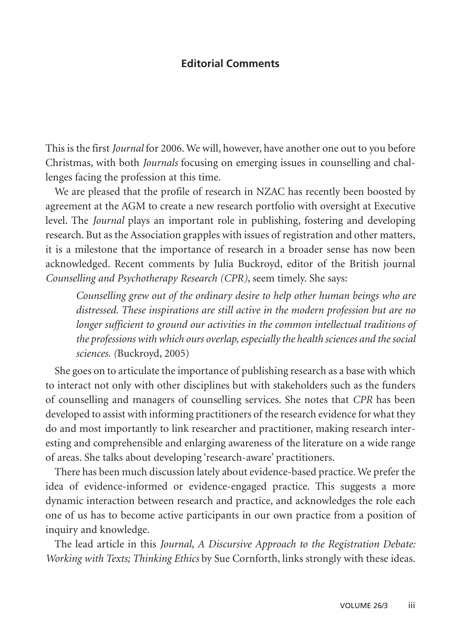## **Editorial Comments**

This is the first *Journal* for 2006. We will, however, have another one out to you before Christmas, with both *Journals* focusing on emerging issues in counselling and challenges facing the profession at this time.

We are pleased that the profile of research in NZAC has recently been boosted by agreement at the AGM to create a new research portfolio with oversight at Executive level. The *Journal* plays an important role in publishing, fostering and developing research. But as the Association grapples with issues of registration and other matters, it is a milestone that the importance of research in a broader sense has now been acknowledged. Recent comments by Julia Buckroyd, editor of the British journal *Counselling and Psychotherapy Research (CPR)*, seem timely. She says:

*Counselling grew out of the ordinary desire to help other human beings who are distressed. These inspirations are still active in the modern profession but are no longer sufficient to ground our activities in the common intellectual traditions of the professions with which ours overlap, especially the health sciences and the social sciences. (*Buckroyd, 2005)

She goes on to articulate the importance of publishing research as a base with which to interact not only with other disciplines but with stakeholders such as the funders of counselling and managers of counselling services. She notes that *CPR* has been developed to assist with informing practitioners of the research evidence for what they do and most importantly to link researcher and practitioner, making research interesting and comprehensible and enlarging awareness of the literature on a wide range of areas. She talks about developing 'research-aware' practitioners.

There has been much discussion lately about evidence-based practice. We prefer the idea of evidence-informed or evidence-engaged practice. This suggests a more dynamic interaction between research and practice, and acknowledges the role each one of us has to become active participants in our own practice from a position of inquiry and knowledge.

The lead article in this *Journal*, *A Discursive Approach to the Registration Debate: Working with Texts; Thinking Ethics* by Sue Cornforth, links strongly with these ideas.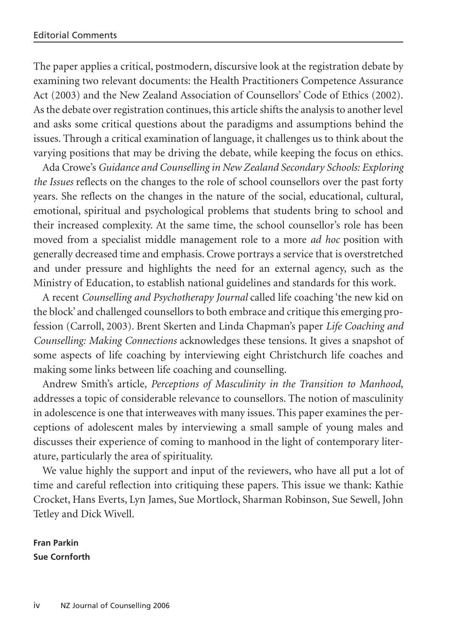The paper applies a critical, postmodern, discursive look at the registration debate by examining two relevant documents: the Health Practitioners Competence Assurance Act (2003) and the New Zealand Association of Counsellors' Code of Ethics (2002). As the debate over registration continues, this article shifts the analysis to another level and asks some critical questions about the paradigms and assumptions behind the issues. Through a critical examination of language, it challenges us to think about the varying positions that may be driving the debate, while keeping the focus on ethics.

Ada Crowe's *Guidance and Counselling in New Zealand Secondary Schools: Exploring the Issues* reflects on the changes to the role of school counsellors over the past forty years. She reflects on the changes in the nature of the social, educational, cultural, emotional, spiritual and psychological problems that students bring to school and their increased complexity. At the same time, the school counsellor's role has been moved from a specialist middle management role to a more *ad hoc* position with generally decreased time and emphasis. Crowe portrays a service that is overstretched and under pressure and highlights the need for an external agency, such as the Ministry of Education, to establish national guidelines and standards for this work.

A recent *Counselling and Psychotherapy Journal* called life coaching 'the new kid on the block' and challenged counsellors to both embrace and critique this emerging profession (Carroll, 2003). Brent Skerten and Linda Chapman's paper *Life Coaching and Counselling: Making Connections* acknowledges these tensions. It gives a snapshot of some aspects of life coaching by interviewing eight Christchurch life coaches and making some links between life coaching and counselling.

Andrew Smith's article, *Perceptions of Masculinity in the Transition to Manhood*, addresses a topic of considerable relevance to counsellors. The notion of masculinity in adolescence is one that interweaves with many issues. This paper examines the perceptions of adolescent males by interviewing a small sample of young males and discusses their experience of coming to manhood in the light of contemporary literature, particularly the area of spirituality.

We value highly the support and input of the reviewers, who have all put a lot of time and careful reflection into critiquing these papers. This issue we thank: Kathie Crocket, Hans Everts, Lyn James, Sue Mortlock, Sharman Robinson, Sue Sewell, John Tetley and Dick Wivell.

**Fran Parkin Sue Cornforth**